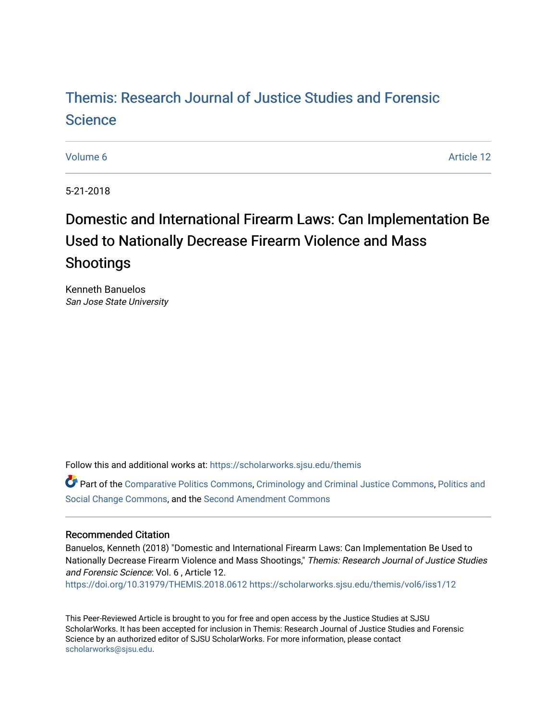# [Themis: Research Journal of Justice Studies and Forensic](https://scholarworks.sjsu.edu/themis)  **Science**

[Volume 6](https://scholarworks.sjsu.edu/themis/vol6) Article 12

5-21-2018

# Domestic and International Firearm Laws: Can Implementation Be Used to Nationally Decrease Firearm Violence and Mass Shootings

Kenneth Banuelos San Jose State University

Follow this and additional works at: [https://scholarworks.sjsu.edu/themis](https://scholarworks.sjsu.edu/themis?utm_source=scholarworks.sjsu.edu%2Fthemis%2Fvol6%2Fiss1%2F12&utm_medium=PDF&utm_campaign=PDFCoverPages)

Part of the [Comparative Politics Commons,](http://network.bepress.com/hgg/discipline/388?utm_source=scholarworks.sjsu.edu%2Fthemis%2Fvol6%2Fiss1%2F12&utm_medium=PDF&utm_campaign=PDFCoverPages) [Criminology and Criminal Justice Commons](http://network.bepress.com/hgg/discipline/367?utm_source=scholarworks.sjsu.edu%2Fthemis%2Fvol6%2Fiss1%2F12&utm_medium=PDF&utm_campaign=PDFCoverPages), Politics and [Social Change Commons](http://network.bepress.com/hgg/discipline/425?utm_source=scholarworks.sjsu.edu%2Fthemis%2Fvol6%2Fiss1%2F12&utm_medium=PDF&utm_campaign=PDFCoverPages), and the [Second Amendment Commons](http://network.bepress.com/hgg/discipline/1119?utm_source=scholarworks.sjsu.edu%2Fthemis%2Fvol6%2Fiss1%2F12&utm_medium=PDF&utm_campaign=PDFCoverPages)

#### Recommended Citation

Banuelos, Kenneth (2018) "Domestic and International Firearm Laws: Can Implementation Be Used to Nationally Decrease Firearm Violence and Mass Shootings," Themis: Research Journal of Justice Studies and Forensic Science: Vol. 6 , Article 12. <https://doi.org/10.31979/THEMIS.2018.0612> [https://scholarworks.sjsu.edu/themis/vol6/iss1/12](https://scholarworks.sjsu.edu/themis/vol6/iss1/12?utm_source=scholarworks.sjsu.edu%2Fthemis%2Fvol6%2Fiss1%2F12&utm_medium=PDF&utm_campaign=PDFCoverPages)

This Peer-Reviewed Article is brought to you for free and open access by the Justice Studies at SJSU ScholarWorks. It has been accepted for inclusion in Themis: Research Journal of Justice Studies and Forensic Science by an authorized editor of SJSU ScholarWorks. For more information, please contact [scholarworks@sjsu.edu](mailto:scholarworks@sjsu.edu).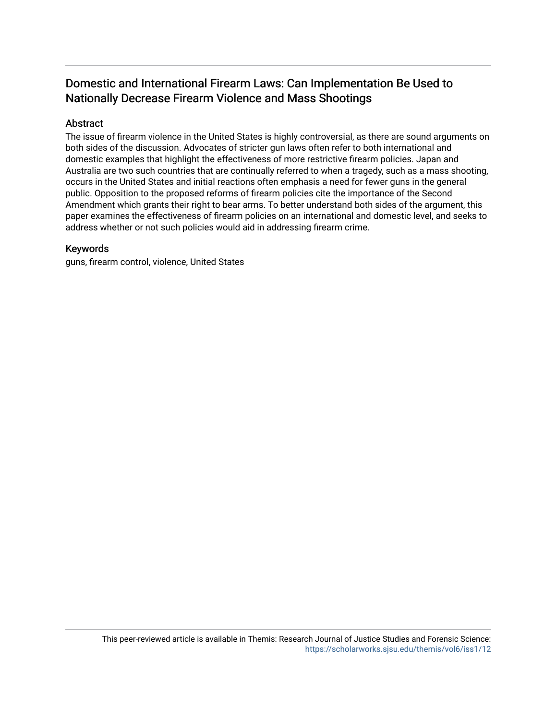# Domestic and International Firearm Laws: Can Implementation Be Used to Nationally Decrease Firearm Violence and Mass Shootings

# Abstract

The issue of firearm violence in the United States is highly controversial, as there are sound arguments on both sides of the discussion. Advocates of stricter gun laws often refer to both international and domestic examples that highlight the effectiveness of more restrictive firearm policies. Japan and Australia are two such countries that are continually referred to when a tragedy, such as a mass shooting, occurs in the United States and initial reactions often emphasis a need for fewer guns in the general public. Opposition to the proposed reforms of firearm policies cite the importance of the Second Amendment which grants their right to bear arms. To better understand both sides of the argument, this paper examines the effectiveness of firearm policies on an international and domestic level, and seeks to address whether or not such policies would aid in addressing firearm crime.

## Keywords

guns, firearm control, violence, United States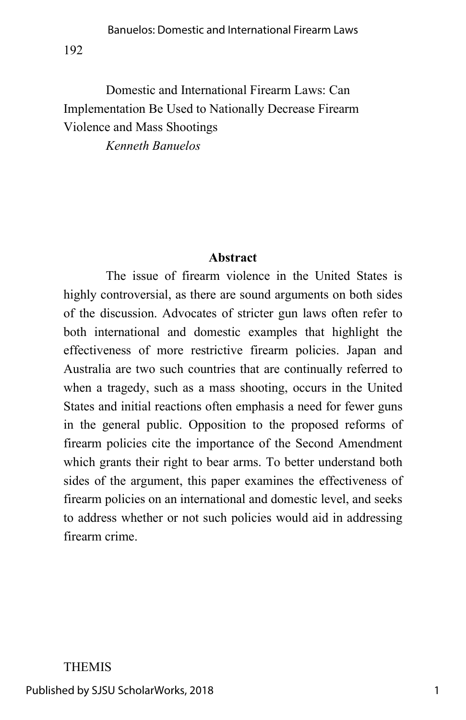# Domestic and International Firearm Laws: Can Implementation Be Used to Nationally Decrease Firearm Violence and Mass Shootings

*Kenneth Banuelos*

# **Abstract**

The issue of firearm violence in the United States is highly controversial, as there are sound arguments on both sides of the discussion. Advocates of stricter gun laws often refer to both international and domestic examples that highlight the effectiveness of more restrictive firearm policies. Japan and Australia are two such countries that are continually referred to when a tragedy, such as a mass shooting, occurs in the United States and initial reactions often emphasis a need for fewer guns in the general public. Opposition to the proposed reforms of firearm policies cite the importance of the Second Amendment which grants their right to bear arms. To better understand both sides of the argument, this paper examines the effectiveness of firearm policies on an international and domestic level, and seeks to address whether or not such policies would aid in addressing firearm crime.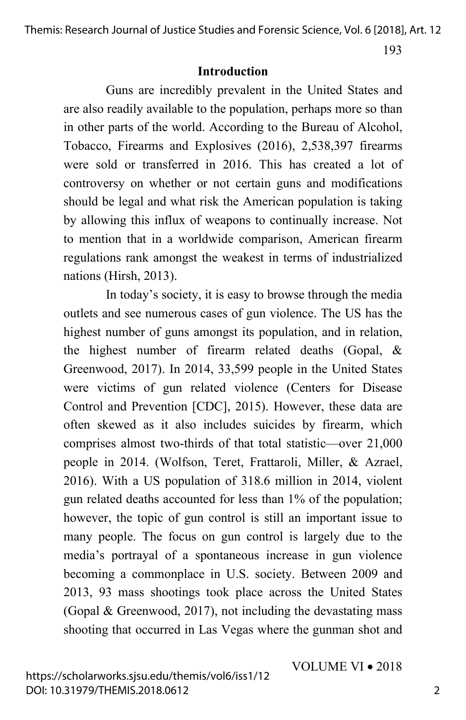193

#### **Introduction**

Guns are incredibly prevalent in the United States and are also readily available to the population, perhaps more so than in other parts of the world. According to the Bureau of Alcohol, Tobacco, Firearms and Explosives (2016), 2,538,397 firearms were sold or transferred in 2016. This has created a lot of controversy on whether or not certain guns and modifications should be legal and what risk the American population is taking by allowing this influx of weapons to continually increase. Not to mention that in a worldwide comparison, American firearm regulations rank amongst the weakest in terms of industrialized nations (Hirsh, 2013).

In today's society, it is easy to browse through the media outlets and see numerous cases of gun violence. The US has the highest number of guns amongst its population, and in relation, the highest number of firearm related deaths (Gopal, & Greenwood, 2017). In 2014, 33,599 people in the United States were victims of gun related violence (Centers for Disease Control and Prevention [CDC], 2015). However, these data are often skewed as it also includes suicides by firearm, which comprises almost two-thirds of that total statistic—over 21,000 people in 2014. (Wolfson, Teret, Frattaroli, Miller, & Azrael, 2016). With a US population of 318.6 million in 2014, violent gun related deaths accounted for less than 1% of the population; however, the topic of gun control is still an important issue to many people. The focus on gun control is largely due to the media's portrayal of a spontaneous increase in gun violence becoming a commonplace in U.S. society. Between 2009 and 2013, 93 mass shootings took place across the United States (Gopal & Greenwood, 2017), not including the devastating mass shooting that occurred in Las Vegas where the gunman shot and

VOLUME VI • 2018

2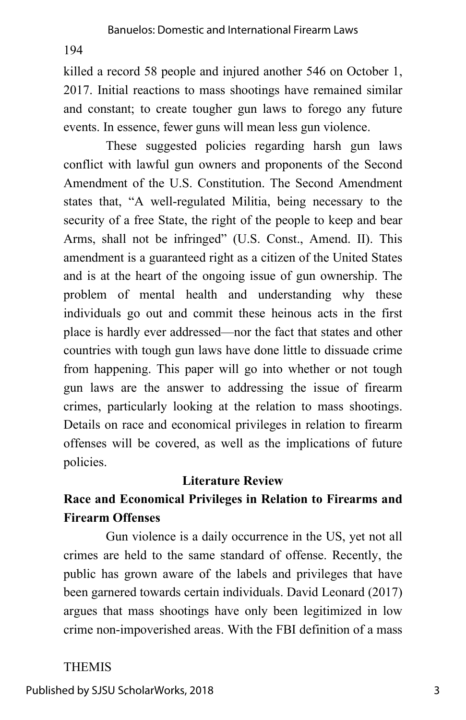killed a record 58 people and injured another 546 on October 1, 2017. Initial reactions to mass shootings have remained similar and constant; to create tougher gun laws to forego any future events. In essence, fewer guns will mean less gun violence.

These suggested policies regarding harsh gun laws conflict with lawful gun owners and proponents of the Second Amendment of the U.S. Constitution. The Second Amendment states that, "A well-regulated Militia, being necessary to the security of a free State, the right of the people to keep and bear Arms, shall not be infringed" (U.S. Const., Amend. II). This amendment is a guaranteed right as a citizen of the United States and is at the heart of the ongoing issue of gun ownership. The problem of mental health and understanding why these individuals go out and commit these heinous acts in the first place is hardly ever addressed—nor the fact that states and other countries with tough gun laws have done little to dissuade crime from happening. This paper will go into whether or not tough gun laws are the answer to addressing the issue of firearm crimes, particularly looking at the relation to mass shootings. Details on race and economical privileges in relation to firearm offenses will be covered, as well as the implications of future policies.

# **Literature Review**

# **Race and Economical Privileges in Relation to Firearms and Firearm Offenses**

Gun violence is a daily occurrence in the US, yet not all crimes are held to the same standard of offense. Recently, the public has grown aware of the labels and privileges that have been garnered towards certain individuals. David Leonard (2017) argues that mass shootings have only been legitimized in low crime non-impoverished areas. With the FBI definition of a mass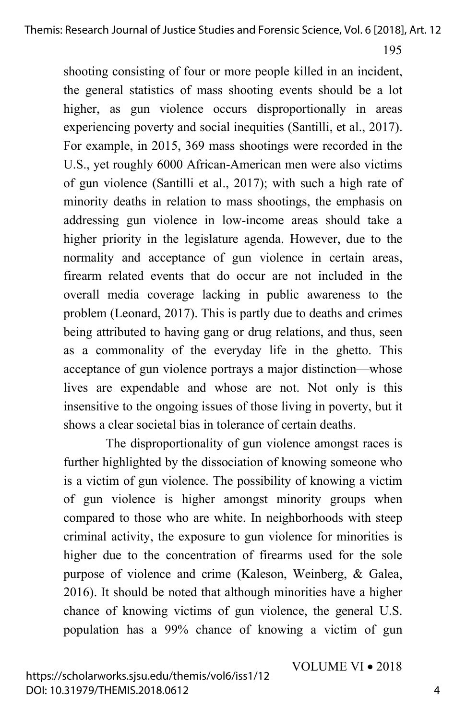shooting consisting of four or more people killed in an incident, the general statistics of mass shooting events should be a lot higher, as gun violence occurs disproportionally in areas experiencing poverty and social inequities (Santilli, et al., 2017). For example, in 2015, 369 mass shootings were recorded in the U.S., yet roughly 6000 African-American men were also victims of gun violence (Santilli et al., 2017); with such a high rate of minority deaths in relation to mass shootings, the emphasis on addressing gun violence in low-income areas should take a higher priority in the legislature agenda. However, due to the normality and acceptance of gun violence in certain areas, firearm related events that do occur are not included in the overall media coverage lacking in public awareness to the problem (Leonard, 2017). This is partly due to deaths and crimes being attributed to having gang or drug relations, and thus, seen as a commonality of the everyday life in the ghetto. This acceptance of gun violence portrays a major distinction—whose lives are expendable and whose are not. Not only is this insensitive to the ongoing issues of those living in poverty, but it shows a clear societal bias in tolerance of certain deaths.

The disproportionality of gun violence amongst races is further highlighted by the dissociation of knowing someone who is a victim of gun violence. The possibility of knowing a victim of gun violence is higher amongst minority groups when compared to those who are white. In neighborhoods with steep criminal activity, the exposure to gun violence for minorities is higher due to the concentration of firearms used for the sole purpose of violence and crime (Kaleson, Weinberg, & Galea, 2016). It should be noted that although minorities have a higher chance of knowing victims of gun violence, the general U.S. population has a 99% chance of knowing a victim of gun

VOLUME VI • 2018

4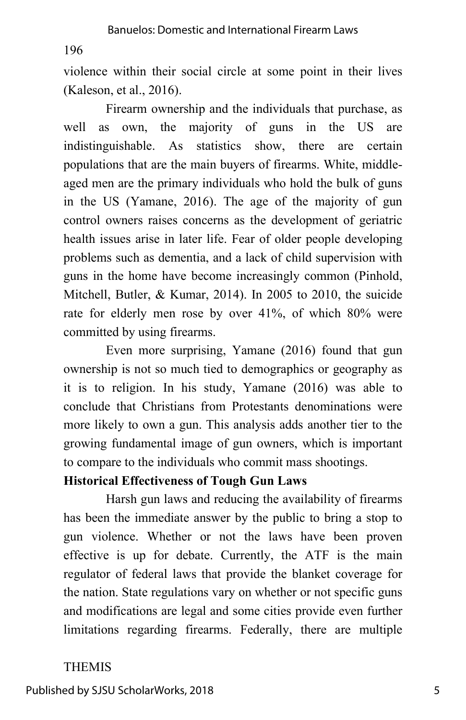violence within their social circle at some point in their lives (Kaleson, et al., 2016).

Firearm ownership and the individuals that purchase, as well as own, the majority of guns in the US are indistinguishable. As statistics show, there are certain populations that are the main buyers of firearms. White, middleaged men are the primary individuals who hold the bulk of guns in the US (Yamane, 2016). The age of the majority of gun control owners raises concerns as the development of geriatric health issues arise in later life. Fear of older people developing problems such as dementia, and a lack of child supervision with guns in the home have become increasingly common (Pinhold, Mitchell, Butler, & Kumar, 2014). In 2005 to 2010, the suicide rate for elderly men rose by over 41%, of which 80% were committed by using firearms.

Even more surprising, Yamane (2016) found that gun ownership is not so much tied to demographics or geography as it is to religion. In his study, Yamane (2016) was able to conclude that Christians from Protestants denominations were more likely to own a gun. This analysis adds another tier to the growing fundamental image of gun owners, which is important to compare to the individuals who commit mass shootings.

# **Historical Effectiveness of Tough Gun Laws**

Harsh gun laws and reducing the availability of firearms has been the immediate answer by the public to bring a stop to gun violence. Whether or not the laws have been proven effective is up for debate. Currently, the ATF is the main regulator of federal laws that provide the blanket coverage for the nation. State regulations vary on whether or not specific guns and modifications are legal and some cities provide even further limitations regarding firearms. Federally, there are multiple

## THEMIS

Published by SJSU ScholarWorks, 2018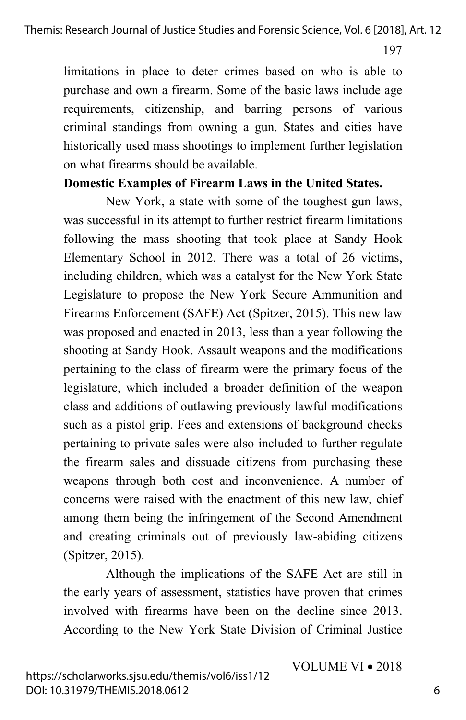limitations in place to deter crimes based on who is able to purchase and own a firearm. Some of the basic laws include age requirements, citizenship, and barring persons of various criminal standings from owning a gun. States and cities have historically used mass shootings to implement further legislation on what firearms should be available.

#### **Domestic Examples of Firearm Laws in the United States.**

New York, a state with some of the toughest gun laws, was successful in its attempt to further restrict firearm limitations following the mass shooting that took place at Sandy Hook Elementary School in 2012. There was a total of 26 victims, including children, which was a catalyst for the New York State Legislature to propose the New York Secure Ammunition and Firearms Enforcement (SAFE) Act (Spitzer, 2015). This new law was proposed and enacted in 2013, less than a year following the shooting at Sandy Hook. Assault weapons and the modifications pertaining to the class of firearm were the primary focus of the legislature, which included a broader definition of the weapon class and additions of outlawing previously lawful modifications such as a pistol grip. Fees and extensions of background checks pertaining to private sales were also included to further regulate the firearm sales and dissuade citizens from purchasing these weapons through both cost and inconvenience. A number of concerns were raised with the enactment of this new law, chief among them being the infringement of the Second Amendment and creating criminals out of previously law-abiding citizens (Spitzer, 2015).

Although the implications of the SAFE Act are still in the early years of assessment, statistics have proven that crimes involved with firearms have been on the decline since 2013. According to the New York State Division of Criminal Justice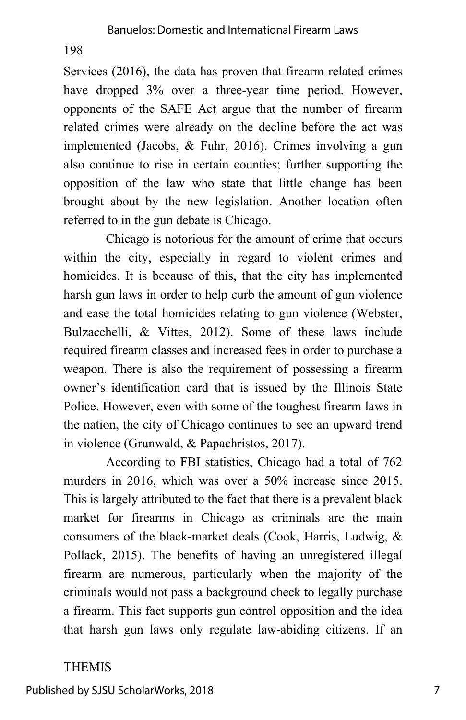Services (2016), the data has proven that firearm related crimes have dropped  $3\%$  over a three-year time period. However, opponents of the SAFE Act argue that the number of firearm related crimes were already on the decline before the act was implemented (Jacobs, & Fuhr, 2016). Crimes involving a gun also continue to rise in certain counties; further supporting the opposition of the law who state that little change has been brought about by the new legislation. Another location often referred to in the gun debate is Chicago.

Chicago is notorious for the amount of crime that occurs within the city, especially in regard to violent crimes and homicides. It is because of this, that the city has implemented harsh gun laws in order to help curb the amount of gun violence and ease the total homicides relating to gun violence (Webster, Bulzacchelli, & Vittes, 2012). Some of these laws include required firearm classes and increased fees in order to purchase a weapon. There is also the requirement of possessing a firearm owner's identification card that is issued by the Illinois State Police. However, even with some of the toughest firearm laws in the nation, the city of Chicago continues to see an upward trend in violence (Grunwald, & Papachristos, 2017).

According to FBI statistics, Chicago had a total of 762 murders in 2016, which was over a 50% increase since 2015. This is largely attributed to the fact that there is a prevalent black market for firearms in Chicago as criminals are the main consumers of the black-market deals (Cook, Harris, Ludwig, & Pollack, 2015). The benefits of having an unregistered illegal firearm are numerous, particularly when the majority of the criminals would not pass a background check to legally purchase a firearm. This fact supports gun control opposition and the idea that harsh gun laws only regulate law-abiding citizens. If an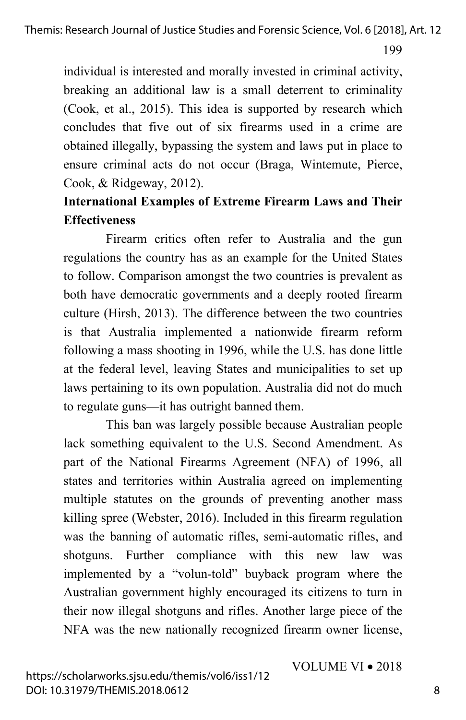individual is interested and morally invested in criminal activity, breaking an additional law is a small deterrent to criminality (Cook, et al., 2015). This idea is supported by research which concludes that five out of six firearms used in a crime are obtained illegally, bypassing the system and laws put in place to ensure criminal acts do not occur (Braga, Wintemute, Pierce, Cook, & Ridgeway, 2012).

# **International Examples of Extreme Firearm Laws and Their Effectiveness**

Firearm critics often refer to Australia and the gun regulations the country has as an example for the United States to follow. Comparison amongst the two countries is prevalent as both have democratic governments and a deeply rooted firearm culture (Hirsh, 2013). The difference between the two countries is that Australia implemented a nationwide firearm reform following a mass shooting in 1996, while the U.S. has done little at the federal level, leaving States and municipalities to set up laws pertaining to its own population. Australia did not do much to regulate guns—it has outright banned them.

This ban was largely possible because Australian people lack something equivalent to the U.S. Second Amendment. As part of the National Firearms Agreement (NFA) of 1996, all states and territories within Australia agreed on implementing multiple statutes on the grounds of preventing another mass killing spree (Webster, 2016). Included in this firearm regulation was the banning of automatic rifles, semi-automatic rifles, and shotguns. Further compliance with this new law was implemented by a "volun-told" buyback program where the Australian government highly encouraged its citizens to turn in their now illegal shotguns and rifles. Another large piece of the NFA was the new nationally recognized firearm owner license,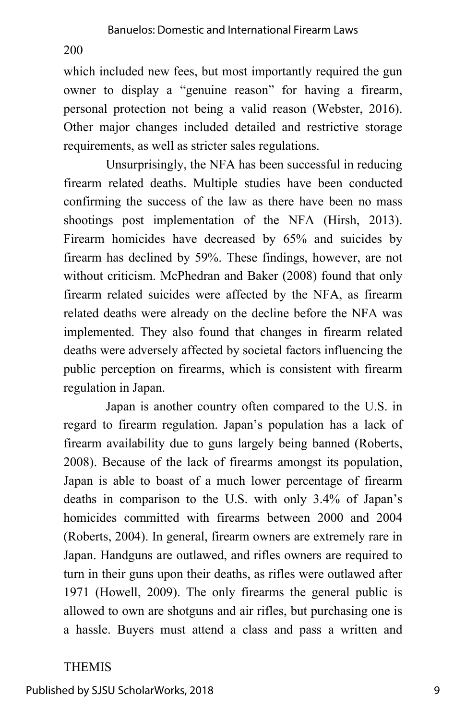which included new fees, but most importantly required the gun owner to display a "genuine reason" for having a firearm, personal protection not being a valid reason (Webster, 2016). Other major changes included detailed and restrictive storage requirements, as well as stricter sales regulations.

Unsurprisingly, the NFA has been successful in reducing firearm related deaths. Multiple studies have been conducted confirming the success of the law as there have been no mass shootings post implementation of the NFA (Hirsh, 2013). Firearm homicides have decreased by 65% and suicides by firearm has declined by 59%. These findings, however, are not without criticism. McPhedran and Baker (2008) found that only firearm related suicides were affected by the NFA, as firearm related deaths were already on the decline before the NFA was implemented. They also found that changes in firearm related deaths were adversely affected by societal factors influencing the public perception on firearms, which is consistent with firearm regulation in Japan.

Japan is another country often compared to the U.S. in regard to firearm regulation. Japan's population has a lack of firearm availability due to guns largely being banned (Roberts, 2008). Because of the lack of firearms amongst its population, Japan is able to boast of a much lower percentage of firearm deaths in comparison to the U.S. with only 3.4% of Japan's homicides committed with firearms between 2000 and 2004 (Roberts, 2004). In general, firearm owners are extremely rare in Japan. Handguns are outlawed, and rifles owners are required to turn in their guns upon their deaths, as rifles were outlawed after 1971 (Howell, 2009). The only firearms the general public is allowed to own are shotguns and air rifles, but purchasing one is a hassle. Buyers must attend a class and pass a written and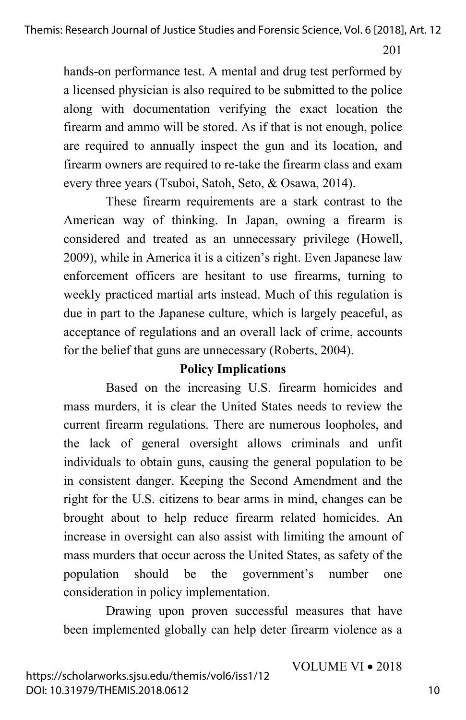201

hands-on performance test. A mental and drug test performed by a licensed physician is also required to be submitted to the police along with documentation verifying the exact location the firearm and ammo will be stored. As if that is not enough, police are required to annually inspect the gun and its location, and firearm owners are required to re-take the firearm class and exam every three years (Tsuboi, Satoh, Seto, & Osawa, 2014).

These firearm requirements are a stark contrast to the American way of thinking. In Japan, owning a firearm is considered and treated as an unnecessary privilege (Howell, 2009), while in America it is a citizen's right. Even Japanese law enforcement officers are hesitant to use firearms, turning to weekly practiced martial arts instead. Much of this regulation is due in part to the Japanese culture, which is largely peaceful, as acceptance of regulations and an overall lack of crime, accounts for the belief that guns are unnecessary (Roberts, 2004).

#### **Policy Implications**

Based on the increasing U.S. firearm homicides and mass murders, it is clear the United States needs to review the current firearm regulations. There are numerous loopholes, and the lack of general oversight allows criminals and unfit individuals to obtain guns, causing the general population to be in consistent danger. Keeping the Second Amendment and the right for the U.S. citizens to bear arms in mind, changes can be brought about to help reduce firearm related homicides. An increase in oversight can also assist with limiting the amount of mass murders that occur across the United States, as safety of the population should be the government's number one consideration in policy implementation.

Drawing upon proven successful measures that have been implemented globally can help deter firearm violence as a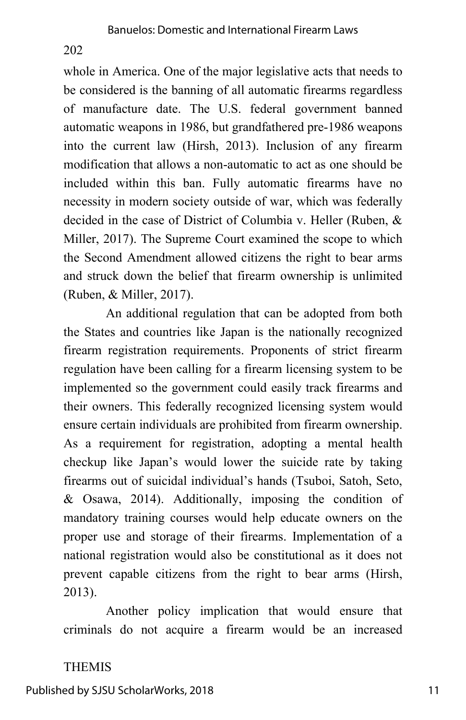whole in America. One of the major legislative acts that needs to be considered is the banning of all automatic firearms regardless of manufacture date. The U.S. federal government banned automatic weapons in 1986, but grandfathered pre-1986 weapons into the current law (Hirsh, 2013). Inclusion of any firearm modification that allows a non-automatic to act as one should be included within this ban. Fully automatic firearms have no necessity in modern society outside of war, which was federally decided in the case of District of Columbia v. Heller (Ruben, & Miller, 2017). The Supreme Court examined the scope to which the Second Amendment allowed citizens the right to bear arms and struck down the belief that firearm ownership is unlimited (Ruben, & Miller, 2017).

An additional regulation that can be adopted from both the States and countries like Japan is the nationally recognized firearm registration requirements. Proponents of strict firearm regulation have been calling for a firearm licensing system to be implemented so the government could easily track firearms and their owners. This federally recognized licensing system would ensure certain individuals are prohibited from firearm ownership. As a requirement for registration, adopting a mental health checkup like Japan's would lower the suicide rate by taking firearms out of suicidal individual's hands (Tsuboi, Satoh, Seto, & Osawa, 2014). Additionally, imposing the condition of mandatory training courses would help educate owners on the proper use and storage of their firearms. Implementation of a national registration would also be constitutional as it does not prevent capable citizens from the right to bear arms (Hirsh, 2013).

Another policy implication that would ensure that criminals do not acquire a firearm would be an increased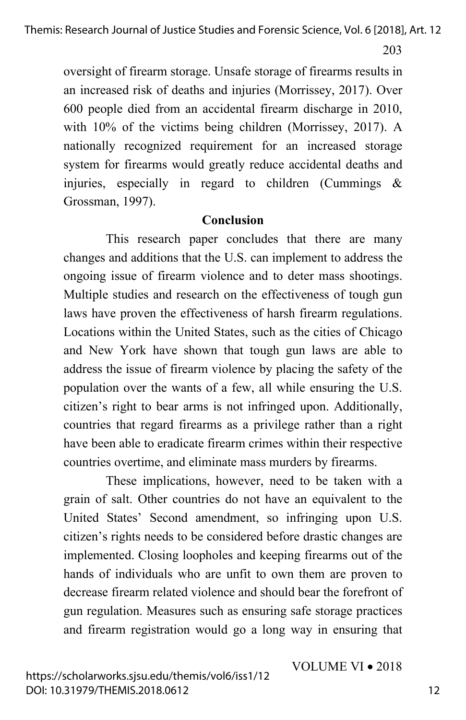oversight of firearm storage. Unsafe storage of firearms results in an increased risk of deaths and injuries (Morrissey, 2017). Over 600 people died from an accidental firearm discharge in 2010, with 10% of the victims being children (Morrissey, 2017). A nationally recognized requirement for an increased storage system for firearms would greatly reduce accidental deaths and injuries, especially in regard to children (Cummings  $\&$ Grossman, 1997).

#### **Conclusion**

This research paper concludes that there are many changes and additions that the U.S. can implement to address the ongoing issue of firearm violence and to deter mass shootings. Multiple studies and research on the effectiveness of tough gun laws have proven the effectiveness of harsh firearm regulations. Locations within the United States, such as the cities of Chicago and New York have shown that tough gun laws are able to address the issue of firearm violence by placing the safety of the population over the wants of a few, all while ensuring the U.S. citizen's right to bear arms is not infringed upon. Additionally, countries that regard firearms as a privilege rather than a right have been able to eradicate firearm crimes within their respective countries overtime, and eliminate mass murders by firearms.

These implications, however, need to be taken with a grain of salt. Other countries do not have an equivalent to the United States' Second amendment, so infringing upon U.S. citizen's rights needs to be considered before drastic changes are implemented. Closing loopholes and keeping firearms out of the hands of individuals who are unfit to own them are proven to decrease firearm related violence and should bear the forefront of gun regulation. Measures such as ensuring safe storage practices and firearm registration would go a long way in ensuring that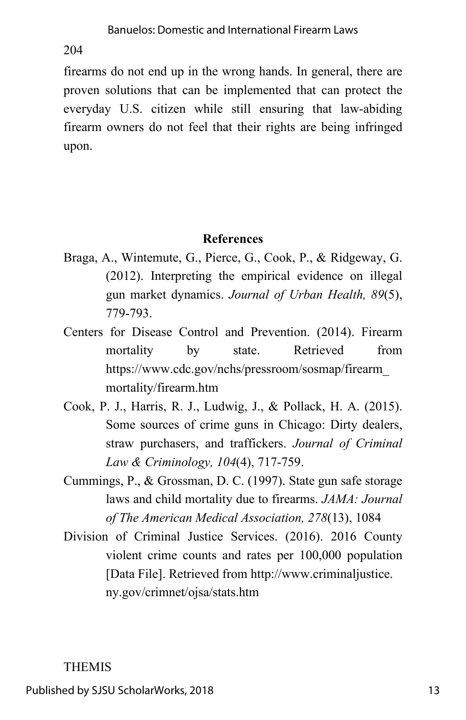firearms do not end up in the wrong hands. In general, there are proven solutions that can be implemented that can protect the everyday U.S. citizen while still ensuring that law-abiding firearm owners do not feel that their rights are being infringed upon.

# **References**

- Braga, A., Wintemute, G., Pierce, G., Cook, P., & Ridgeway, G. (2012). Interpreting the empirical evidence on illegal gun market dynamics. *Journal of Urban Health, 89*(5), 779-793.
- Centers for Disease Control and Prevention. (2014). Firearm mortality by state. Retrieved from https://www.cdc.gov/nchs/pressroom/sosmap/firearm\_ mortality/firearm.htm
- Cook, P. J., Harris, R. J., Ludwig, J., & Pollack, H. A. (2015). Some sources of crime guns in Chicago: Dirty dealers, straw purchasers, and traffickers. *Journal of Criminal Law & Criminology, 104*(4), 717-759.
- Cummings, P., & Grossman, D. C. (1997). State gun safe storage laws and child mortality due to firearms. *JAMA: Journal of The American Medical Association, 278*(13), 1084
- Division of Criminal Justice Services. (2016). 2016 County violent crime counts and rates per 100,000 population [Data File]. Retrieved from http://www.criminaljustice. ny.gov/crimnet/ojsa/stats.htm

# THEMIS

Published by SJSU ScholarWorks, 2018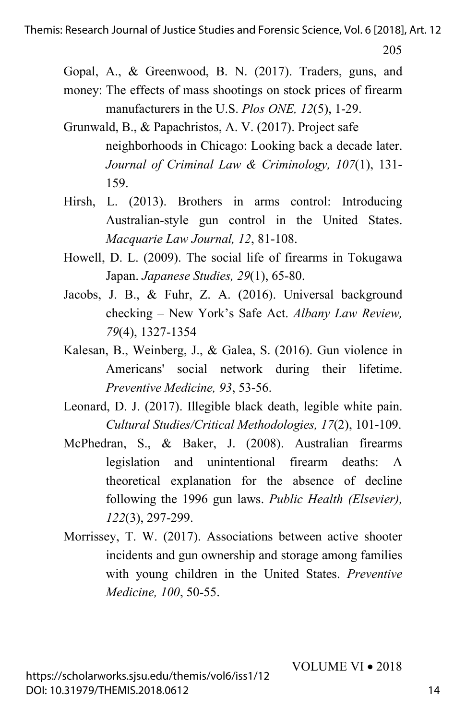Gopal, A., & Greenwood, B. N. (2017). Traders, guns, and

- money: The effects of mass shootings on stock prices of firearm manufacturers in the U.S. *Plos ONE, 12*(5), 1-29.
- Grunwald, B., & Papachristos, A. V. (2017). Project safe neighborhoods in Chicago: Looking back a decade later. *Journal of Criminal Law & Criminology, 107*(1), 131- 159.
- Hirsh, L. (2013). Brothers in arms control: Introducing Australian-style gun control in the United States. *Macquarie Law Journal, 12*, 81-108.
- Howell, D. L. (2009). The social life of firearms in Tokugawa Japan. *Japanese Studies, 29*(1), 65-80.
- Jacobs, J. B., & Fuhr, Z. A. (2016). Universal background checking – New York's Safe Act. *Albany Law Review, 79*(4), 1327-1354
- Kalesan, B., Weinberg, J., & Galea, S. (2016). Gun violence in Americans' social network during their lifetime. *Preventive Medicine, 93*, 53-56.
- Leonard, D. J. (2017). Illegible black death, legible white pain. *Cultural Studies/Critical Methodologies, 17*(2), 101-109.
- McPhedran, S., & Baker, J. (2008). Australian firearms legislation and unintentional firearm deaths: A theoretical explanation for the absence of decline following the 1996 gun laws. *Public Health (Elsevier), 122*(3), 297-299.
- Morrissey, T. W. (2017). Associations between active shooter incidents and gun ownership and storage among families with young children in the United States. *Preventive Medicine, 100*, 50-55.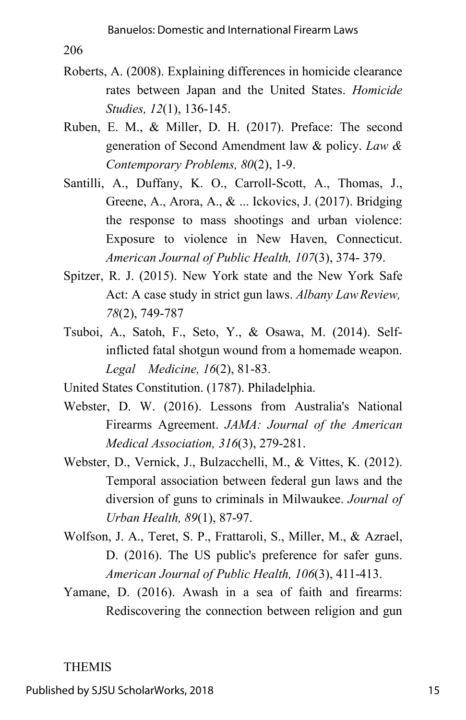- Roberts, A. (2008). Explaining differences in homicide clearance rates between Japan and the United States. *Homicide Studies, 12*(1), 136-145.
- Ruben, E. M., & Miller, D. H. (2017). Preface: The second generation of Second Amendment law & policy. *Law & Contemporary Problems, 80*(2), 1-9.
- Santilli, A., Duffany, K. O., Carroll-Scott, A., Thomas, J., Greene, A., Arora, A., & ... Ickovics, J. (2017). Bridging the response to mass shootings and urban violence: Exposure to violence in New Haven, Connecticut. *American Journal of Public Health, 107*(3), 374- 379.
- Spitzer, R. J. (2015). New York state and the New York Safe Act: A case study in strict gun laws. *Albany LawReview, 78*(2), 749-787
- Tsuboi, A., Satoh, F., Seto, Y., & Osawa, M. (2014). Selfinflicted fatal shotgun wound from a homemade weapon. *Legal Medicine, 16*(2), 81-83.
- United States Constitution. (1787). Philadelphia.
- Webster, D. W. (2016). Lessons from Australia's National Firearms Agreement. *JAMA: Journal of the American Medical Association, 316*(3), 279-281.
- Webster, D., Vernick, J., Bulzacchelli, M., & Vittes, K. (2012). Temporal association between federal gun laws and the diversion of guns to criminals in Milwaukee. *Journal of Urban Health, 89*(1), 87-97.
- Wolfson, J. A., Teret, S. P., Frattaroli, S., Miller, M., & Azrael, D. (2016). The US public's preference for safer guns. *American Journal of Public Health, 106*(3), 411-413.
- Yamane, D. (2016). Awash in a sea of faith and firearms: Rediscovering the connection between religion and gun

# THEMIS

Published by SJSU ScholarWorks, 2018